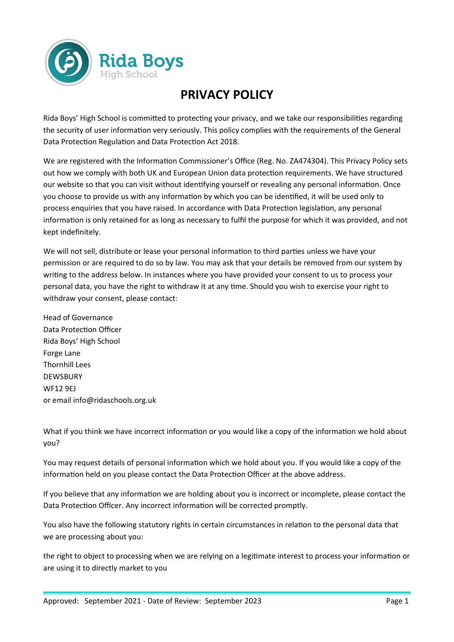

## **PRIVACY POLICY**

Rida Boys' High School is committed to protecting your privacy, and we take our responsibilities regarding the security of user information very seriously. This policy complies with the requirements of the General Data Protection Regulation and Data Protection Act 2018.

We are registered with the Information Commissioner's Office (Reg. No. ZA474304). This Privacy Policy sets out how we comply with both UK and European Union data protection requirements. We have structured our website so that you can visit without identifying yourself or revealing any personal information. Once you choose to provide us with any information by which you can be identified, it will be used only to process enquiries that you have raised. In accordance with Data Protection legislation, any personal information is only retained for as long as necessary to fulfil the purpose for which it was provided, and not kept indefinitely.

We will not sell, distribute or lease your personal information to third parties unless we have your permission or are required to do so by law. You may ask that your details be removed from our system by writing to the address below. In instances where you have provided your consent to us to process your personal data, you have the right to withdraw it at any time. Should you wish to exercise your right to withdraw your consent, please contact:

Head of Governance Data Protection Officer Rida Boys' High School Forge Lane Thornhill Lees DEWSBURY WF12 9EJ or email info@ridaschools.org.uk

What if you think we have incorrect information or you would like a copy of the information we hold about you?

You may request details of personal information which we hold about you. If you would like a copy of the information held on you please contact the Data Protection Officer at the above address.

If you believe that any information we are holding about you is incorrect or incomplete, please contact the Data Protection Officer. Any incorrect information will be corrected promptly.

You also have the following statutory rights in certain circumstances in relation to the personal data that we are processing about you:

the right to object to processing when we are relying on a legitimate interest to process your information or are using it to directly market to you